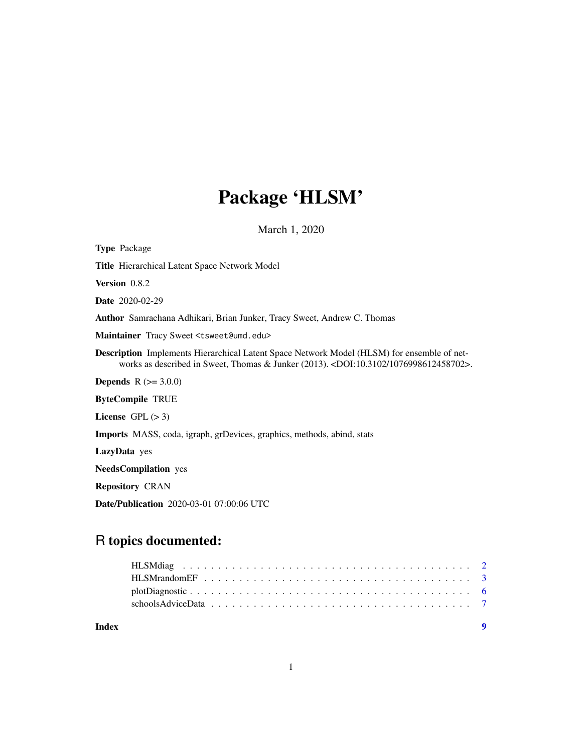# Package 'HLSM'

March 1, 2020

| <b>Type Package</b>                                                                                                                                                       |
|---------------------------------------------------------------------------------------------------------------------------------------------------------------------------|
| Title Hierarchical Latent Space Network Model                                                                                                                             |
| <b>Version</b> 0.8.2                                                                                                                                                      |
| <b>Date</b> 2020-02-29                                                                                                                                                    |
| <b>Author</b> Samrachana Adhikari, Brian Junker, Tracy Sweet, Andrew C. Thomas                                                                                            |
| Maintainer Tracy Sweet <tsweet@umd.edu></tsweet@umd.edu>                                                                                                                  |
| <b>Description</b> Implements Hierarchical Latent Space Network Model (HLSM) for ensemble of net-<br>works as described in Sweet, Thomas & Junker (2013).<br><br><br><br> |
| <b>Depends</b> $R (= 3.0.0)$                                                                                                                                              |
| <b>ByteCompile TRUE</b>                                                                                                                                                   |
| License $GPL (> 3)$                                                                                                                                                       |
| <b>Imports</b> MASS, coda, igraph, grDevices, graphics, methods, abind, stats                                                                                             |
| LazyData yes                                                                                                                                                              |
| <b>NeedsCompilation</b> yes                                                                                                                                               |
| <b>Repository CRAN</b>                                                                                                                                                    |
| <b>Date/Publication</b> 2020-03-01 07:00:06 UTC                                                                                                                           |

# R topics documented:

1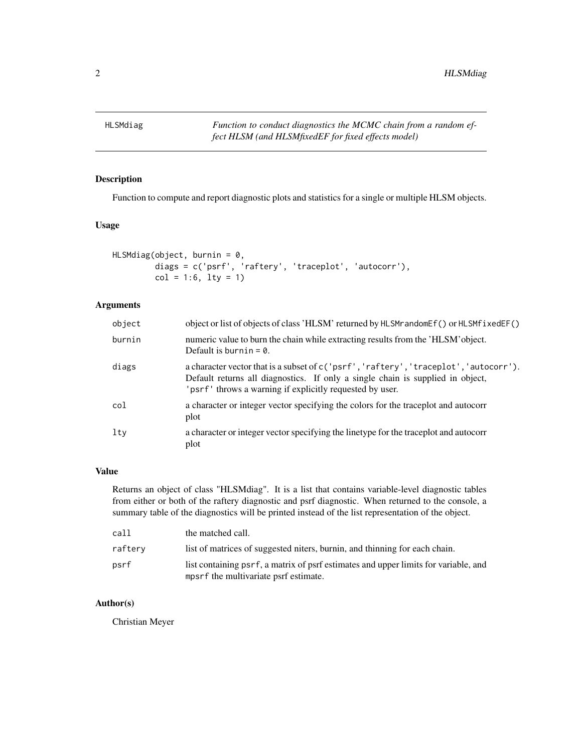<span id="page-1-0"></span>

# Description

Function to compute and report diagnostic plots and statistics for a single or multiple HLSM objects.

# Usage

```
HLSMdiag(object, burnin = 0,
        diags = c('psrf', 'raftery', 'traceplot', 'autocorr'),
        col = 1:6, 1ty = 1)
```
### Arguments

| object | object or list of objects of class 'HLSM' returned by HLSM randomether () or HLSM fixed EF()                                                                                                                                        |
|--------|-------------------------------------------------------------------------------------------------------------------------------------------------------------------------------------------------------------------------------------|
| burnin | numeric value to burn the chain while extracting results from the 'HLSM' object.<br>Default is burnin = $\theta$ .                                                                                                                  |
| diags  | a character vector that is a subset of c('psrf', 'raftery', 'traceplot', 'autocorr').<br>Default returns all diagnostics. If only a single chain is supplied in object,<br>'psrf' throws a warning if explicitly requested by user. |
| col    | a character or integer vector specifying the colors for the traceplot and autocorr<br>plot                                                                                                                                          |
| lty    | a character or integer vector specifying the linetype for the traceplot and autocorr<br>plot                                                                                                                                        |

#### Value

Returns an object of class "HLSMdiag". It is a list that contains variable-level diagnostic tables from either or both of the raftery diagnostic and psrf diagnostic. When returned to the console, a summary table of the diagnostics will be printed instead of the list representation of the object.

| call    | the matched call.                                                                                                            |
|---------|------------------------------------------------------------------------------------------------------------------------------|
| rafterv | list of matrices of suggested niters, burnin, and thinning for each chain.                                                   |
| psrf    | list containing psrf, a matrix of psrf estimates and upper limits for variable, and<br>mpsrf the multivariate psrf estimate. |

#### Author(s)

Christian Meyer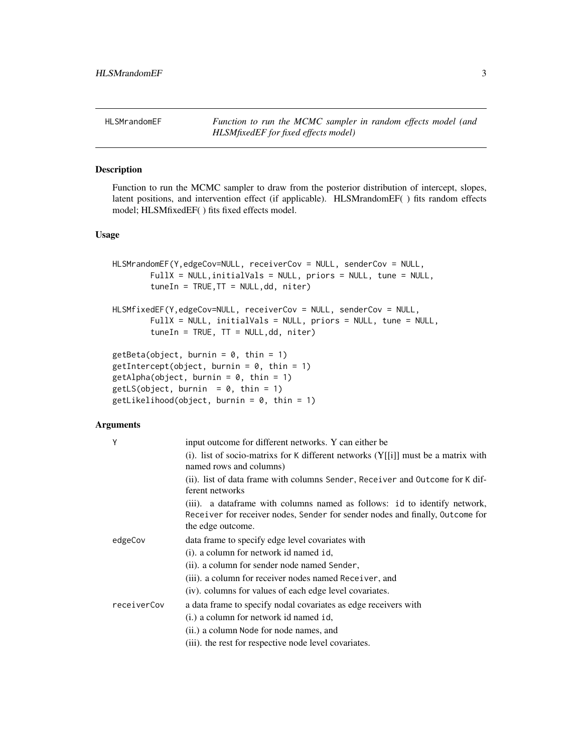<span id="page-2-0"></span>HLSMrandomEF *Function to run the MCMC sampler in random effects model (and HLSMfixedEF for fixed effects model)*

### Description

Function to run the MCMC sampler to draw from the posterior distribution of intercept, slopes, latent positions, and intervention effect (if applicable). HLSMrandomEF( ) fits random effects model; HLSMfixedEF( ) fits fixed effects model.

#### Usage

```
HLSMrandomEF(Y,edgeCov=NULL, receiverCov = NULL, senderCov = NULL,
            FullX = NULL,initialVals = NULL, priors = NULL, tune = NULL,
            tuneIn = TRUE, TT = NULL, dd, niter)HLSMfixedEF(Y,edgeCov=NULL, receiverCov = NULL, senderCov = NULL,
            FullX = NULL, initialVals = NULL, priors = NULL, tune = NULL,
            tuneIn = TRUE, TT = NULL, dd, niter)getBeta(object, burnin = 0, thin = 1)getIntercept(object, burnin = 0, thin = 1)getAlpha(object, burnin = 0, thin = 1)getLS(object, burnin = 0, thin = 1)
   getLikelihood(object, burnin = 0, thin = 1)Arguments
   Y input outcome for different networks. Y can either be
                     (i). list of socio-matrixs for K different networks (Y[[i]] must be a matrix with
                     named rows and columns)
                     (ii). list of data frame with columns Sender, Receiver and Outcome for K dif-
                     ferent networks
                     (iii). a dataframe with columns named as follows: id to identify network,
                     Receiver for receiver nodes, Sender for sender nodes and finally, Outcome for
                     the edge outcome.
    edgeCov data frame to specify edge level covariates with
                     (i). a column for network id named id,
                     (ii). a column for sender node named Sender,
                     (iii). a column for receiver nodes named Receiver, and
                     (iv). columns for values of each edge level covariates.
    receiverCov a data frame to specify nodal covariates as edge receivers with
```
(i.) a column for network id named id,

(ii.) a column Node for node names, and

(iii). the rest for respective node level covariates.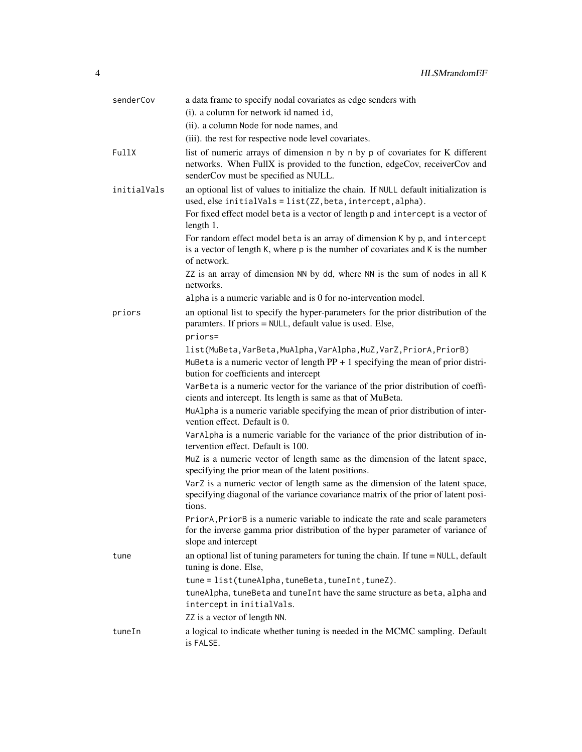| senderCov   | a data frame to specify nodal covariates as edge senders with                                                                                                                                       |
|-------------|-----------------------------------------------------------------------------------------------------------------------------------------------------------------------------------------------------|
|             | (i). a column for network id named id,                                                                                                                                                              |
|             | (ii). a column Node for node names, and                                                                                                                                                             |
|             | (iii). the rest for respective node level covariates.                                                                                                                                               |
| FullX       | list of numeric arrays of dimension n by n by p of covariates for K different<br>networks. When FullX is provided to the function, edgeCov, receiverCov and<br>senderCov must be specified as NULL. |
| initialVals | an optional list of values to initialize the chain. If NULL default initialization is<br>used, else initialVals = list(ZZ, beta, intercept, alpha).                                                 |
|             | For fixed effect model beta is a vector of length p and intercept is a vector of<br>length 1.                                                                                                       |
|             | For random effect model beta is an array of dimension K by p, and intercept<br>is a vector of length K, where p is the number of covariates and K is the number<br>of network.                      |
|             | ZZ is an array of dimension NN by dd, where NN is the sum of nodes in all K<br>networks.                                                                                                            |
|             | alpha is a numeric variable and is 0 for no-intervention model.                                                                                                                                     |
| priors      | an optional list to specify the hyper-parameters for the prior distribution of the<br>paramters. If priors = NULL, default value is used. Else,                                                     |
|             | priors=                                                                                                                                                                                             |
|             | list(MuBeta,VarBeta,MuAlpha,VarAlpha,MuZ,VarZ,PriorA,PriorB)<br>MuBeta is a numeric vector of length $PP + 1$ specifying the mean of prior distri-                                                  |
|             | bution for coefficients and intercept                                                                                                                                                               |
|             | VarBeta is a numeric vector for the variance of the prior distribution of coeffi-<br>cients and intercept. Its length is same as that of MuBeta.                                                    |
|             | MuAlpha is a numeric variable specifying the mean of prior distribution of inter-<br>vention effect. Default is 0.                                                                                  |
|             | VarAlpha is a numeric variable for the variance of the prior distribution of in-<br>tervention effect. Default is 100.                                                                              |
|             | MuZ is a numeric vector of length same as the dimension of the latent space,<br>specifying the prior mean of the latent positions.                                                                  |
|             | VarZ is a numeric vector of length same as the dimension of the latent space,<br>specifying diagonal of the variance covariance matrix of the prior of latent posi-<br>tions.                       |
|             | PriorA, PriorB is a numeric variable to indicate the rate and scale parameters<br>for the inverse gamma prior distribution of the hyper parameter of variance of<br>slope and intercept             |
| tune        | an optional list of tuning parameters for tuning the chain. If tune = NULL, default<br>tuning is done. Else,                                                                                        |
|             | tune = list(tuneAlpha, tuneBeta, tuneInt, tuneZ).                                                                                                                                                   |
|             | tuneAlpha, tuneBeta and tuneInt have the same structure as beta, alpha and<br>intercept in initialVals.                                                                                             |
|             | ZZ is a vector of length NN.                                                                                                                                                                        |
| tuneIn      | a logical to indicate whether tuning is needed in the MCMC sampling. Default<br>is FALSE.                                                                                                           |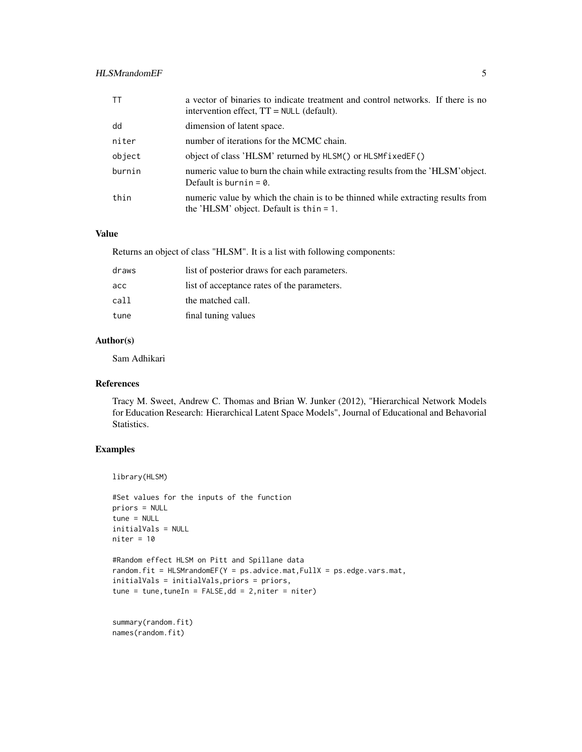#### HLSMrandomEF 5

| <b>TT</b> | a vector of binaries to indicate treatment and control networks. If there is no<br>intervention effect, $TT = NULL$ (default). |
|-----------|--------------------------------------------------------------------------------------------------------------------------------|
| dd        | dimension of latent space.                                                                                                     |
| niter     | number of iterations for the MCMC chain.                                                                                       |
| object    | object of class 'HLSM' returned by HLSM() or HLSMf ixedEF()                                                                    |
| burnin    | numeric value to burn the chain while extracting results from the 'HLSM' object.<br>Default is burnin = $\theta$ .             |
| thin      | numeric value by which the chain is to be thinned while extracting results from<br>the 'HLSM' object. Default is $thin = 1$ .  |

# Value

Returns an object of class "HLSM". It is a list with following components:

| draws | list of posterior draws for each parameters. |
|-------|----------------------------------------------|
| acc   | list of acceptance rates of the parameters.  |
| call  | the matched call.                            |
| tune  | final tuning values                          |

# Author(s)

Sam Adhikari

#### References

Tracy M. Sweet, Andrew C. Thomas and Brian W. Junker (2012), "Hierarchical Network Models for Education Research: Hierarchical Latent Space Models", Journal of Educational and Behavorial Statistics.

# Examples

```
library(HLSM)
```

```
#Set values for the inputs of the function
priors = NULL
tune = NULL
initialVals = NULL
niter = 10#Random effect HLSM on Pitt and Spillane data
random.fit = HLSMrandomEF(Y = ps.advice.mat,FullX = ps.edge.vars.mat,
initialVals = initialVals,priors = priors,
tune = tune, tuneIn = FALSE, dd = 2, niter = niter)
```

```
summary(random.fit)
names(random.fit)
```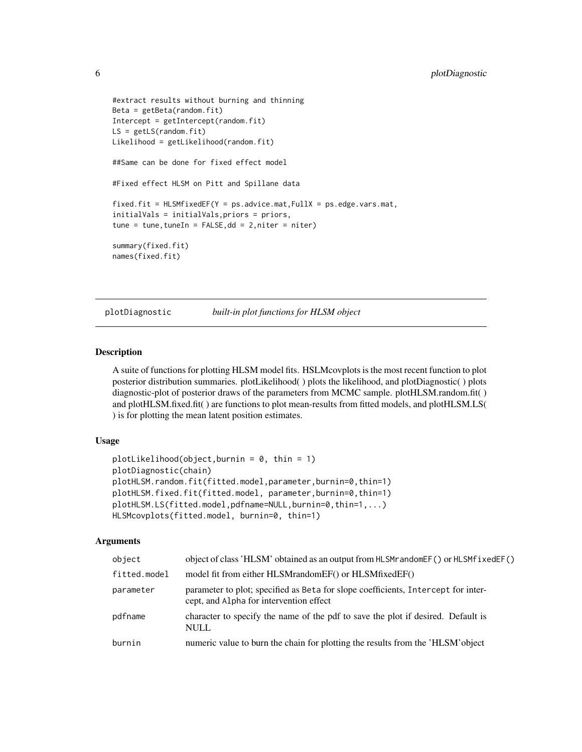```
#extract results without burning and thinning
Beta = getBeta(random.fit)
Intercept = getIntercept(random.fit)
LS = getLS(rangeit)Likelihood = getLikelihood(random.fit)
##Same can be done for fixed effect model
#Fixed effect HLSM on Pitt and Spillane data
fixed.fit = HLSMfixedEF(Y = ps.advice.mat,FullX = ps.edge.vars.mat,
initialVals = initialVals,priors = priors,
tune = tune, tuneIn = FALSE, dd = 2, niter = niter)summary(fixed.fit)
names(fixed.fit)
```
plotDiagnostic *built-in plot functions for HLSM object*

#### Description

A suite of functions for plotting HLSM model fits. HSLMcovplots is the most recent function to plot posterior distribution summaries. plotLikelihood( ) plots the likelihood, and plotDiagnostic( ) plots diagnostic-plot of posterior draws of the parameters from MCMC sample. plotHLSM.random.fit( ) and plotHLSM.fixed.fit( ) are functions to plot mean-results from fitted models, and plotHLSM.LS( ) is for plotting the mean latent position estimates.

#### Usage

```
plotLikelihood(object,burnin = 0, thin = 1)
plotDiagnostic(chain)
plotHLSM.random.fit(fitted.model,parameter,burnin=0,thin=1)
plotHLSM.fixed.fit(fitted.model, parameter,burnin=0,thin=1)
plotHLSM.LS(fitted.model,pdfname=NULL,burnin=0,thin=1,...)
HLSMcovplots(fitted.model, burnin=0, thin=1)
```
#### Arguments

| object       | object of class 'HLSM' obtained as an output from HLSM random $EF()$ or HLSM fixed $EF()$                                    |
|--------------|------------------------------------------------------------------------------------------------------------------------------|
| fitted.model | model fit from either HLSMrandomEF() or HLSMfixedEF()                                                                        |
| parameter    | parameter to plot; specified as Beta for slope coefficients, Intercept for inter-<br>cept, and Alpha for intervention effect |
| pdfname      | character to specify the name of the pdf to save the plot if desired. Default is<br><b>NULL</b>                              |
| burnin       | numeric value to burn the chain for plotting the results from the 'HLSM' object                                              |

<span id="page-5-0"></span>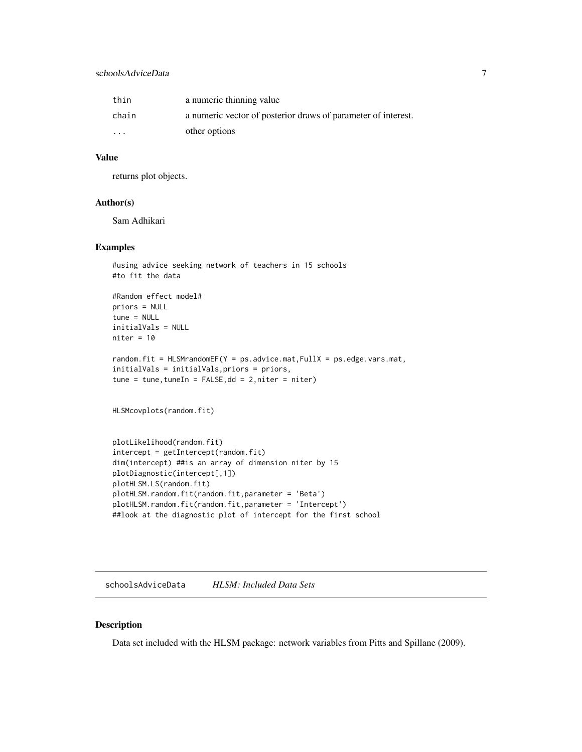# <span id="page-6-0"></span>schoolsAdviceData 7

| thin    | a numeric thinning value                                      |
|---------|---------------------------------------------------------------|
| chain   | a numeric vector of posterior draws of parameter of interest. |
| $\cdot$ | other options                                                 |

#### Value

returns plot objects.

#### Author(s)

Sam Adhikari

#### Examples

```
#using advice seeking network of teachers in 15 schools
#to fit the data
#Random effect model#
priors = NULL
tune = NULL
initialVals = NULL
niter = 10random.fit = HLSMrandomEF(Y = ps.advice.mat,FullX = ps.edge.vars.mat,
initialVals = initialVals,priors = priors,
tune = tune, tuneIn = FALSE, dd = 2, niter = niter)HLSMcovplots(random.fit)
plotLikelihood(random.fit)
intercept = getIntercept(random.fit)
dim(intercept) ##is an array of dimension niter by 15
plotDiagnostic(intercept[,1])
plotHLSM.LS(random.fit)
plotHLSM.random.fit(random.fit,parameter = 'Beta')
plotHLSM.random.fit(random.fit,parameter = 'Intercept')
```

```
##look at the diagnostic plot of intercept for the first school
```
schoolsAdviceData *HLSM: Included Data Sets*

#### Description

Data set included with the HLSM package: network variables from Pitts and Spillane (2009).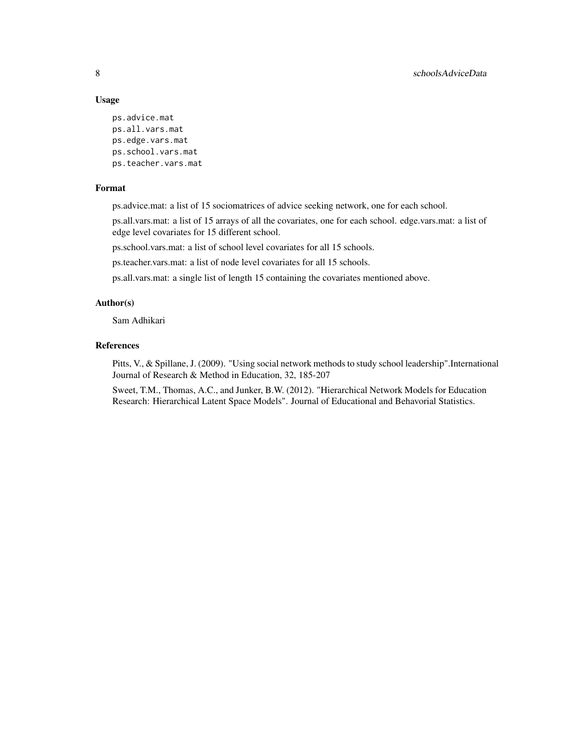# Usage

ps.advice.mat ps.all.vars.mat ps.edge.vars.mat ps.school.vars.mat ps.teacher.vars.mat

# Format

ps.advice.mat: a list of 15 sociomatrices of advice seeking network, one for each school.

ps.all.vars.mat: a list of 15 arrays of all the covariates, one for each school. edge.vars.mat: a list of edge level covariates for 15 different school.

ps.school.vars.mat: a list of school level covariates for all 15 schools.

ps.teacher.vars.mat: a list of node level covariates for all 15 schools.

ps.all.vars.mat: a single list of length 15 containing the covariates mentioned above.

#### Author(s)

Sam Adhikari

# References

Pitts, V., & Spillane, J. (2009). "Using social network methods to study school leadership".International Journal of Research & Method in Education, 32, 185-207

Sweet, T.M., Thomas, A.C., and Junker, B.W. (2012). "Hierarchical Network Models for Education Research: Hierarchical Latent Space Models". Journal of Educational and Behavorial Statistics.